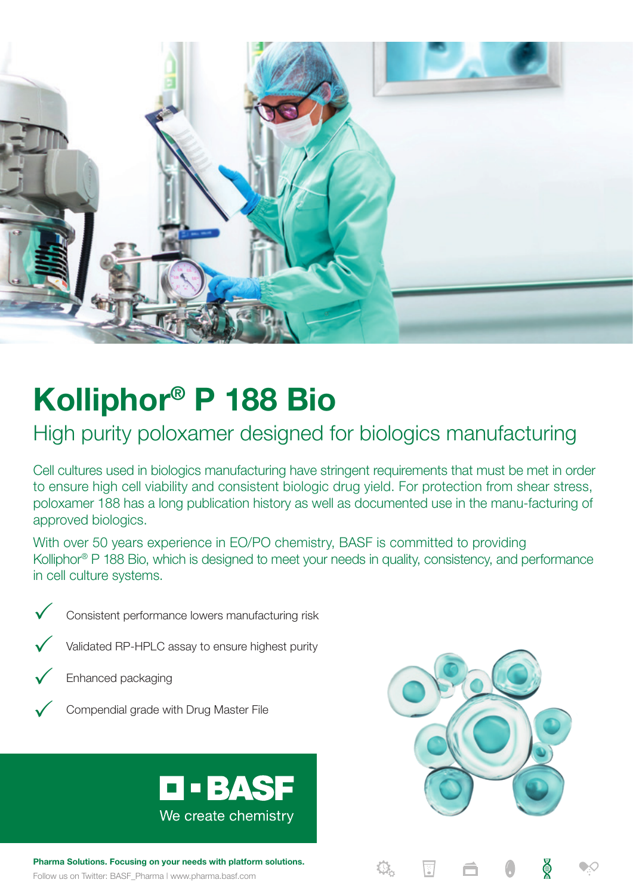

# **Kolliphor® P 188 Bio**

# High purity poloxamer designed for biologics manufacturing

Cell cultures used in biologics manufacturing have stringent requirements that must be met in order to ensure high cell viability and consistent biologic drug yield. For protection from shear stress, poloxamer 188 has a long publication history as well as documented use in the manu-facturing of approved biologics.

With over 50 years experience in EO/PO chemistry, BASF is committed to providing Kolliphor<sup>®</sup> P 188 Bio, which is designed to meet your needs in quality, consistency, and performance in cell culture systems.



 $\checkmark$  Consistent performance lowers manufacturing risk



 $\checkmark$  Validated RP-HPLC assay to ensure highest purity



 $\sqrt{\phantom{a}}$  Enhanced packaging



 $\checkmark$  Compendial grade with Drug Master File



**Pharma Solutions. Focusing on your needs with platform solutions.**

Follow us on Twitter: BASF\_Pharma | www.pharma.basf.com